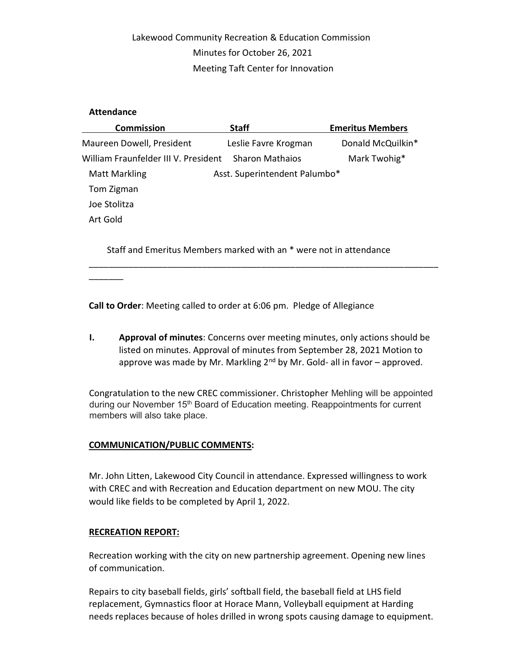## Lakewood Community Recreation & Education Commission Minutes for October 26, 2021 Meeting Taft Center for Innovation

## Attendance

 $\overline{\phantom{a}}$ 

| <b>Commission</b>                    | <b>Staff</b>                  | <b>Emeritus Members</b> |
|--------------------------------------|-------------------------------|-------------------------|
| Maureen Dowell, President            | Leslie Favre Krogman          | Donald McQuilkin*       |
| William Fraunfelder III V. President | <b>Sharon Mathaios</b>        | Mark Twohig*            |
| <b>Matt Markling</b>                 | Asst. Superintendent Palumbo* |                         |
| Tom Zigman                           |                               |                         |
| Joe Stolitza                         |                               |                         |
| Art Gold                             |                               |                         |
|                                      |                               |                         |

Staff and Emeritus Members marked with an \* were not in attendance

\_\_\_\_\_\_\_\_\_\_\_\_\_\_\_\_\_\_\_\_\_\_\_\_\_\_\_\_\_\_\_\_\_\_\_\_\_\_\_\_\_\_\_\_\_\_\_\_\_\_\_\_\_\_\_\_\_\_\_\_\_\_\_\_\_\_\_\_\_\_\_

Call to Order: Meeting called to order at 6:06 pm. Pledge of Allegiance

I. Approval of minutes: Concerns over meeting minutes, only actions should be listed on minutes. Approval of minutes from September 28, 2021 Motion to approve was made by Mr. Markling  $2<sup>nd</sup>$  by Mr. Gold- all in favor – approved.

Congratulation to the new CREC commissioner. Christopher Mehling will be appointed during our November 15<sup>th</sup> Board of Education meeting. Reappointments for current members will also take place.

## COMMUNICATION/PUBLIC COMMENTS:

Mr. John Litten, Lakewood City Council in attendance. Expressed willingness to work with CREC and with Recreation and Education department on new MOU. The city would like fields to be completed by April 1, 2022.

## RECREATION REPORT:

Recreation working with the city on new partnership agreement. Opening new lines of communication.

Repairs to city baseball fields, girls' softball field, the baseball field at LHS field replacement, Gymnastics floor at Horace Mann, Volleyball equipment at Harding needs replaces because of holes drilled in wrong spots causing damage to equipment.